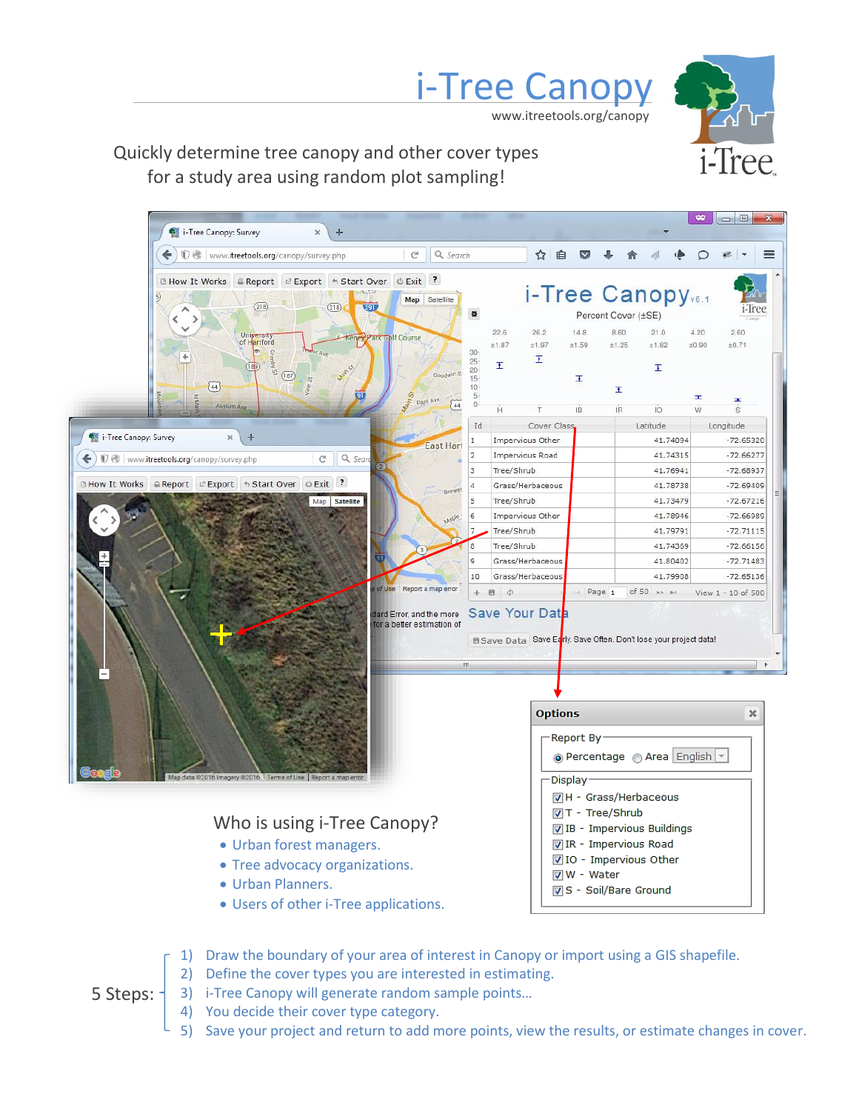

## Quickly determine tree canopy and other cover types for a study area using random plot sampling!



i-Tree Canopy

www.itreetools.org/canopy

#### 1) Draw the boundary of your area of interest in Canopy or import using a GIS shapefile.

- 2) Define the cover types you are interested in estimating.
- 3) i-Tree Canopy will generate random sample points…
- 4) You decide their cover type category.

5 Steps:

5) Save your project and return to add more points, view the results, or estimate changes in cover.